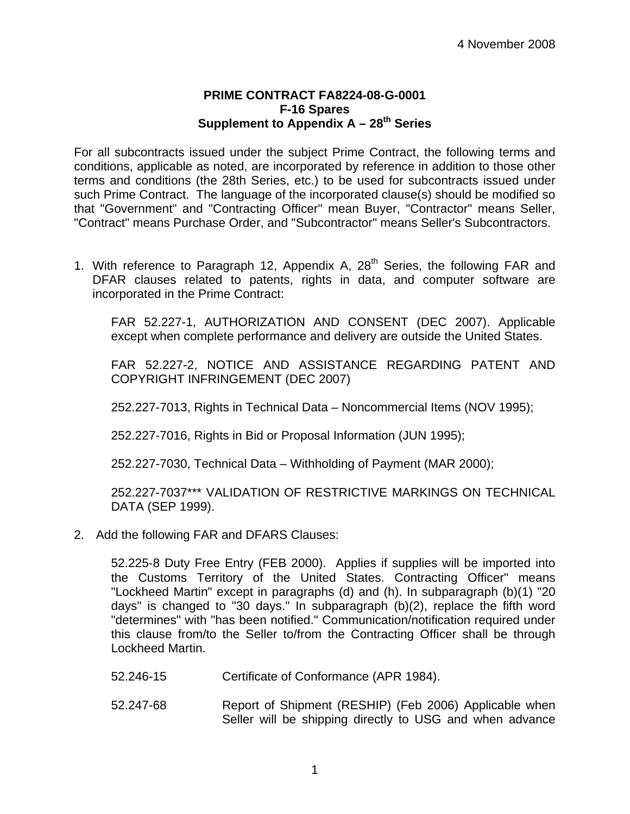## **PRIME CONTRACT FA8224-08-G-0001 F-16 Spares**  Supplement to Appendix A - 28<sup>th</sup> Series

For all subcontracts issued under the subject Prime Contract, the following terms and conditions, applicable as noted, are incorporated by reference in addition to those other terms and conditions (the 28th Series, etc.) to be used for subcontracts issued under such Prime Contract. The language of the incorporated clause(s) should be modified so that "Government" and "Contracting Officer" mean Buyer, "Contractor" means Seller, "Contract" means Purchase Order, and "Subcontractor" means Seller's Subcontractors.

1. With reference to Paragraph 12, Appendix A,  $28<sup>th</sup>$  Series, the following FAR and DFAR clauses related to patents, rights in data, and computer software are incorporated in the Prime Contract:

FAR 52.227-1, AUTHORIZATION AND CONSENT (DEC 2007). Applicable except when complete performance and delivery are outside the United States.

FAR 52.227-2, NOTICE AND ASSISTANCE REGARDING PATENT AND COPYRIGHT INFRINGEMENT (DEC 2007)

252.227-7013, Rights in Technical Data – Noncommercial Items (NOV 1995);

252.227-7016, Rights in Bid or Proposal Information (JUN 1995);

252.227-7030, Technical Data – Withholding of Payment (MAR 2000);

252.227-7037\*\*\* VALIDATION OF RESTRICTIVE MARKINGS ON TECHNICAL DATA (SEP 1999).

2. Add the following FAR and DFARS Clauses:

52.225-8 Duty Free Entry (FEB 2000). Applies if supplies will be imported into the Customs Territory of the United States. Contracting Officer" means "Lockheed Martin" except in paragraphs (d) and (h). In subparagraph (b)(1) "20 days" is changed to "30 days." In subparagraph (b)(2), replace the fifth word "determines" with "has been notified." Communication/notification required under this clause from/to the Seller to/from the Contracting Officer shall be through Lockheed Martin.

- 52.246-15 Certificate of Conformance (APR 1984).
- 52.247-68 Report of Shipment (RESHIP) (Feb 2006) Applicable when Seller will be shipping directly to USG and when advance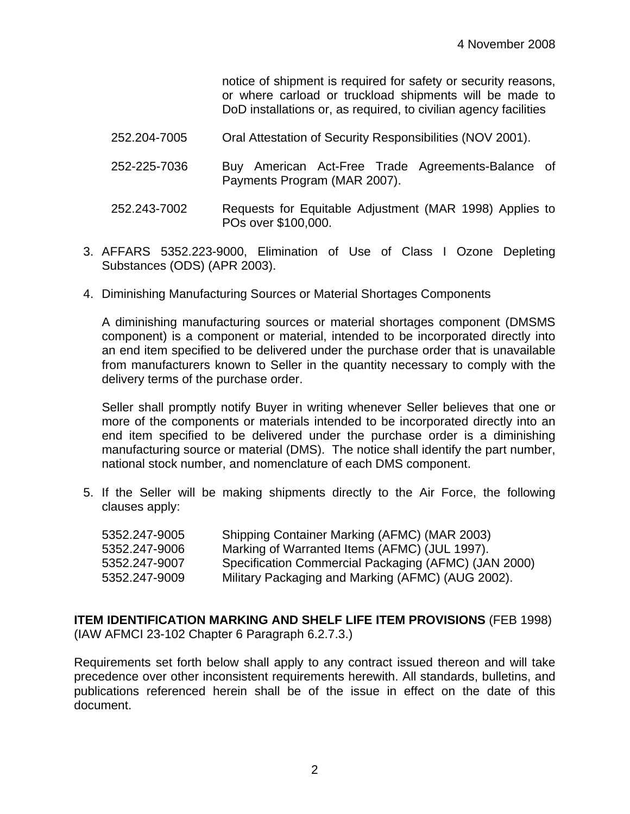notice of shipment is required for safety or security reasons, or where carload or truckload shipments will be made to DoD installations or, as required, to civilian agency facilities

| 252.204-7005 | Oral Attestation of Security Responsibilities (NOV 2001). |  |
|--------------|-----------------------------------------------------------|--|
|              |                                                           |  |

- 252-225-7036 Buy American Act-Free Trade Agreements-Balance of Payments Program (MAR 2007).
- 252.243-7002 Requests for Equitable Adjustment (MAR 1998) Applies to POs over \$100,000.
- 3. AFFARS 5352.223-9000, Elimination of Use of Class I Ozone Depleting Substances (ODS) (APR 2003).
- 4. Diminishing Manufacturing Sources or Material Shortages Components

A diminishing manufacturing sources or material shortages component (DMSMS component) is a component or material, intended to be incorporated directly into an end item specified to be delivered under the purchase order that is unavailable from manufacturers known to Seller in the quantity necessary to comply with the delivery terms of the purchase order.

Seller shall promptly notify Buyer in writing whenever Seller believes that one or more of the components or materials intended to be incorporated directly into an end item specified to be delivered under the purchase order is a diminishing manufacturing source or material (DMS). The notice shall identify the part number, national stock number, and nomenclature of each DMS component.

5. If the Seller will be making shipments directly to the Air Force, the following clauses apply:

| Shipping Container Marking (AFMC) (MAR 2003)         |
|------------------------------------------------------|
| Marking of Warranted Items (AFMC) (JUL 1997).        |
| Specification Commercial Packaging (AFMC) (JAN 2000) |
| Military Packaging and Marking (AFMC) (AUG 2002).    |
|                                                      |

## **ITEM IDENTIFICATION MARKING AND SHELF LIFE ITEM PROVISIONS** (FEB 1998) (IAW AFMCI 23-102 Chapter 6 Paragraph 6.2.7.3.)

Requirements set forth below shall apply to any contract issued thereon and will take precedence over other inconsistent requirements herewith. All standards, bulletins, and publications referenced herein shall be of the issue in effect on the date of this document.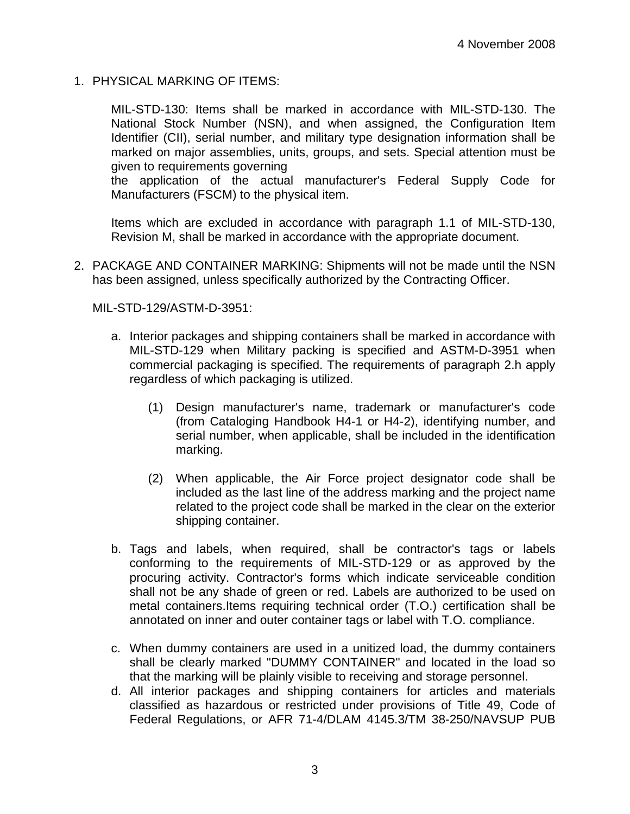1. PHYSICAL MARKING OF ITEMS:

MIL-STD-130: Items shall be marked in accordance with MIL-STD-130. The National Stock Number (NSN), and when assigned, the Configuration Item Identifier (CII), serial number, and military type designation information shall be marked on major assemblies, units, groups, and sets. Special attention must be given to requirements governing

the application of the actual manufacturer's Federal Supply Code for Manufacturers (FSCM) to the physical item.

Items which are excluded in accordance with paragraph 1.1 of MIL-STD-130, Revision M, shall be marked in accordance with the appropriate document.

2. PACKAGE AND CONTAINER MARKING: Shipments will not be made until the NSN has been assigned, unless specifically authorized by the Contracting Officer.

MIL-STD-129/ASTM-D-3951:

- a. Interior packages and shipping containers shall be marked in accordance with MIL-STD-129 when Military packing is specified and ASTM-D-3951 when commercial packaging is specified. The requirements of paragraph 2.h apply regardless of which packaging is utilized.
	- (1) Design manufacturer's name, trademark or manufacturer's code (from Cataloging Handbook H4-1 or H4-2), identifying number, and serial number, when applicable, shall be included in the identification marking.
	- (2) When applicable, the Air Force project designator code shall be included as the last line of the address marking and the project name related to the project code shall be marked in the clear on the exterior shipping container.
- b. Tags and labels, when required, shall be contractor's tags or labels conforming to the requirements of MIL-STD-129 or as approved by the procuring activity. Contractor's forms which indicate serviceable condition shall not be any shade of green or red. Labels are authorized to be used on metal containers.Items requiring technical order (T.O.) certification shall be annotated on inner and outer container tags or label with T.O. compliance.
- c. When dummy containers are used in a unitized load, the dummy containers shall be clearly marked "DUMMY CONTAINER" and located in the load so that the marking will be plainly visible to receiving and storage personnel.
- d. All interior packages and shipping containers for articles and materials classified as hazardous or restricted under provisions of Title 49, Code of Federal Regulations, or AFR 71-4/DLAM 4145.3/TM 38-250/NAVSUP PUB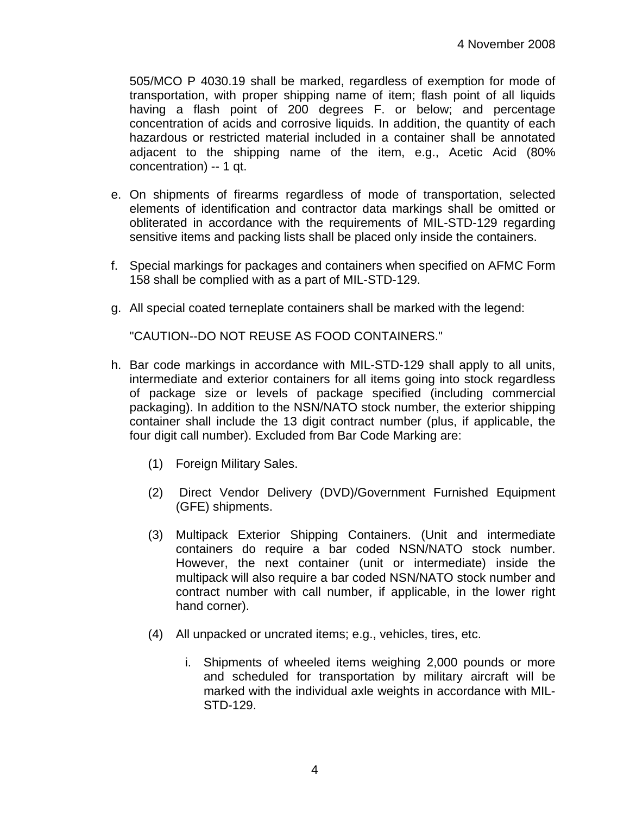505/MCO P 4030.19 shall be marked, regardless of exemption for mode of transportation, with proper shipping name of item; flash point of all liquids having a flash point of 200 degrees F. or below; and percentage concentration of acids and corrosive liquids. In addition, the quantity of each hazardous or restricted material included in a container shall be annotated adjacent to the shipping name of the item, e.g., Acetic Acid (80% concentration) -- 1 qt.

- e. On shipments of firearms regardless of mode of transportation, selected elements of identification and contractor data markings shall be omitted or obliterated in accordance with the requirements of MIL-STD-129 regarding sensitive items and packing lists shall be placed only inside the containers.
- f. Special markings for packages and containers when specified on AFMC Form 158 shall be complied with as a part of MIL-STD-129.
- g. All special coated terneplate containers shall be marked with the legend:

"CAUTION--DO NOT REUSE AS FOOD CONTAINERS."

- h. Bar code markings in accordance with MIL-STD-129 shall apply to all units, intermediate and exterior containers for all items going into stock regardless of package size or levels of package specified (including commercial packaging). In addition to the NSN/NATO stock number, the exterior shipping container shall include the 13 digit contract number (plus, if applicable, the four digit call number). Excluded from Bar Code Marking are:
	- (1) Foreign Military Sales.
	- (2) Direct Vendor Delivery (DVD)/Government Furnished Equipment (GFE) shipments.
	- (3) Multipack Exterior Shipping Containers. (Unit and intermediate containers do require a bar coded NSN/NATO stock number. However, the next container (unit or intermediate) inside the multipack will also require a bar coded NSN/NATO stock number and contract number with call number, if applicable, in the lower right hand corner).
	- (4) All unpacked or uncrated items; e.g., vehicles, tires, etc.
		- i. Shipments of wheeled items weighing 2,000 pounds or more and scheduled for transportation by military aircraft will be marked with the individual axle weights in accordance with MIL-STD-129.